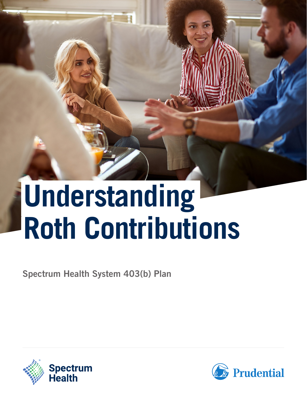# **Understanding Roth Contributions**

Spectrum Health System 403(b) Plan



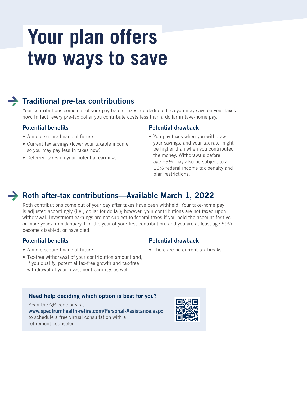# **Your plan offers two ways to save**



### $\rightarrow$  Traditional pre-tax contributions

Your contributions come out of your pay before taxes are deducted, so you may save on your taxes now. In fact, every pre-tax dollar you contribute costs less than a dollar in take-home pay.

#### Potential benefits

- A more secure financial future
- Current tax savings (lower your taxable income, so you may pay less in taxes now)
- Deferred taxes on your potential earnings

#### Potential drawback

Potential drawback

• There are no current tax breaks

• You pay taxes when you withdraw your savings, and your tax rate might be higher than when you contributed the money. Withdrawals before age 59½ may also be subject to a 10% federal income tax penalty and plan restrictions.

### Arr Roth after-tax contributions—Available March 1, 2022

Roth contributions come out of your pay after taxes have been withheld. Your take-home pay is adjusted accordingly (i.e., dollar for dollar); however, your contributions are not taxed upon withdrawal. Investment earnings are not subject to federal taxes if you hold the account for five or more years from January 1 of the year of your first contribution, and you are at least age  $59\frac{1}{2}$ , become disabled, or have died.

#### Potential benefits

- A more secure financial future
- Tax-free withdrawal of your contribution amount and, if you qualify, potential tax-free growth and tax-free withdrawal of your investment earnings as well

#### Need help deciding which option is best for you?

Scan the QR code or visit [www.spectrumhealth-retire.com/Personal-Assistance.aspx](http://www.spectrumhealth-retire.com/Personal-Assistance.aspx) to schedule a free virtual consultation with a retirement counselor.

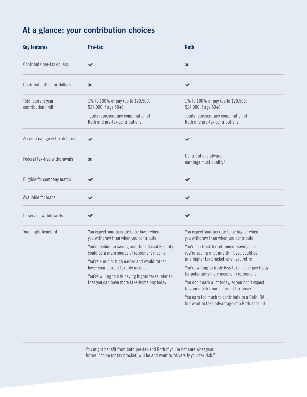# At a glance: your contribution choices

| <b>Key features</b>                      | Pre-tax                                                                                           | <b>Roth</b>                                                                                                                              |
|------------------------------------------|---------------------------------------------------------------------------------------------------|------------------------------------------------------------------------------------------------------------------------------------------|
| Contribute pre-tax dollars               |                                                                                                   | $\boldsymbol{\mathsf{x}}$                                                                                                                |
| Contribute after-tax dollars             | ×                                                                                                 | ✔                                                                                                                                        |
| Total current year<br>contribution limit | 1% to 100% of pay (up to \$20,500;<br>$$27,000$ if age $50+$ )                                    | 1% to 100% of pay (up to \$20,500;<br>$$27,000$ if age $50+$ )                                                                           |
|                                          | Totals represent any combination of<br>Roth and pre-tax contributions.                            | Totals represent any combination of<br>Roth and pre-tax contributions.                                                                   |
| Account can grow tax-deferred            |                                                                                                   | ✔                                                                                                                                        |
| Federal tax-free withdrawals             | $\boldsymbol{\mathsf{x}}$                                                                         | Contributions always,<br>earnings must qualify*                                                                                          |
| Eligible for company match               |                                                                                                   | ✔                                                                                                                                        |
| Available for loans                      |                                                                                                   | $\checkmark$                                                                                                                             |
| In-service withdrawals                   |                                                                                                   | $\checkmark$                                                                                                                             |
| You might benefit if                     | You expect your tax rate to be lower when<br>you withdraw than when you contribute                | You expect your tax rate to be higher when<br>you withdraw than when you contribute                                                      |
|                                          | You're behind in saving and think Social Security<br>could be a main source of retirement income  | You're on track for retirement savings, or<br>you're saving a lot and think you could be                                                 |
|                                          | You're a mid or high earner and would rather<br>lower your current taxable income                 | in a higher tax bracket when you retire<br>You're willing to trade less take-home pay today<br>for potentially more income in retirement |
|                                          | You're willing to risk paying higher taxes later so<br>that you can have more take-home pay today |                                                                                                                                          |
|                                          |                                                                                                   | You don't earn a lot today, so you don't expect<br>to gain much from a current tax break                                                 |
|                                          |                                                                                                   | You earn too much to contribute to a Roth IRA<br>but want to take advantage of a Roth account                                            |

You might benefit from **both** pre-tax and Roth if you're not sure what your future income (or tax bracket) will be and want to "diversify your tax risk."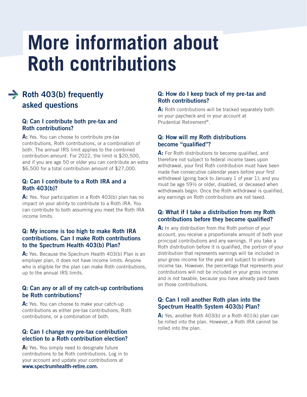# **More information about Roth contributions**

## $\rightarrow$  Roth 403(b) frequently asked questions

#### Q: Can I contribute both pre-tax and Roth contributions?

A: Yes. You can choose to contribute pre-tax contributions, Roth contributions, or a combination of both. The annual IRS limit applies to the combined contribution amount. For 2022, the limit is \$20,500, and if you are age 50 or older you can contribute an extra \$6,500 for a total contribution amount of \$27,000.

#### Q: Can I contribute to a Roth IRA and a Roth 403(b)?

A: Yes. Your participation in a Roth 403(b) plan has no impact on your ability to contribute to a Roth IRA. You can contribute to both assuming you meet the Roth IRA income limits.

#### Q: My income is too high to make Roth IRA contributions. Can I make Roth contributions to the Spectrum Health 403(b) Plan?

A: Yes. Because the Spectrum Health 403(b) Plan is an employer plan, it does not have income limits. Anyone who is eligible for the plan can make Roth contributions, up to the annual IRS limits.

#### Q: Can any or all of my catch-up contributions be Roth contributions?

A: Yes. You can choose to make your catch-up contributions as either pre-tax contributions, Roth contributions, or a combination of both.

#### Q: Can I change my pre-tax contribution election to a Roth contribution election?

A: Yes. You simply need to designate future contributions to be Roth contributions. Log in to your account and update your contributions at [www.spectrumhealth-retire.com.](http://www.spectrumhealth-retire.com)

#### Q: How do I keep track of my pre-tax and Roth contributions?

A: Roth contributions will be tracked separately both on your paycheck and in your account at Prudential Retirement®.

#### Q: How will my Roth distributions become "qualified"?

A: For Roth distributions to become qualified, and therefore not subject to federal income taxes upon withdrawal, your first Roth contribution must have been made five consecutive calendar years before your first withdrawal (going back to January 1 of year 1); and you must be age 59½ or older, disabled, or deceased when withdrawals begin. Once the Roth withdrawal is qualified, any earnings on Roth contributions are not taxed.

#### Q: What if I take a distribution from my Roth contributions before they become qualified?

A: In any distribution from the Roth portion of your account, you receive a proportionate amount of both your principal contributions and any earnings. If you take a Roth distribution before it is qualified, the portion of your distribution that represents earnings will be included in your gross income for the year and subject to ordinary income tax. However, the percentage that represents your contributions will not be included in your gross income and is not taxable, because you have already paid taxes on those contributions.

#### Q: Can I roll another Roth plan into the Spectrum Health System 403(b) Plan?

A: Yes, another Roth 403(b) or a Roth 401(k) plan can be rolled into the plan. However, a Roth IRA cannot be rolled into the plan.